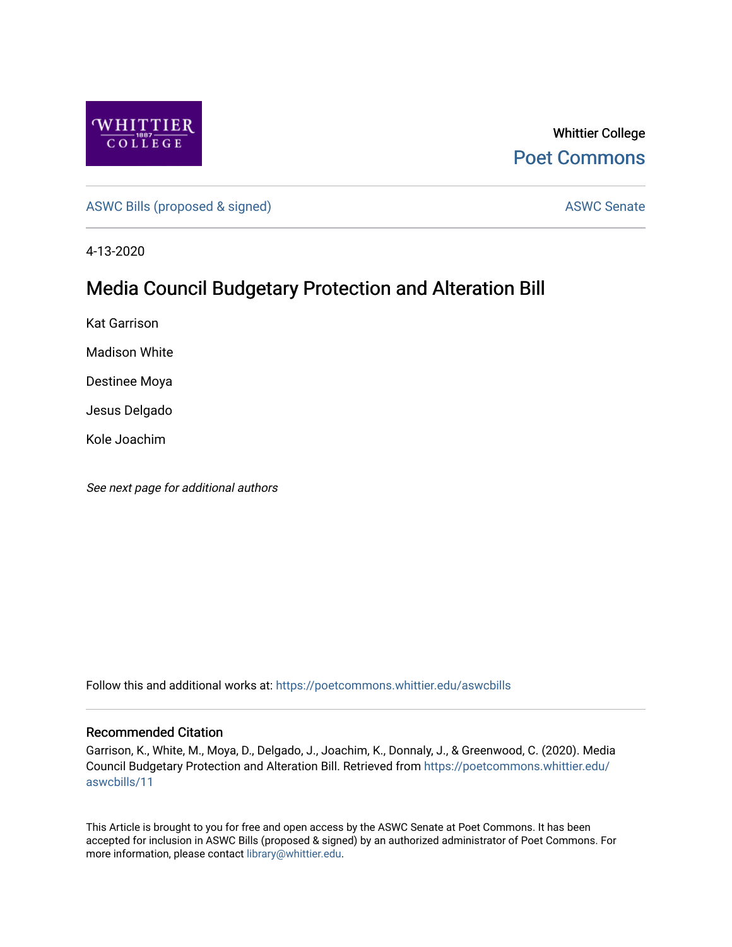

Whittier College [Poet Commons](https://poetcommons.whittier.edu/) 

[ASWC Bills \(proposed & signed\)](https://poetcommons.whittier.edu/aswcbills) ASWC Senate

4-13-2020

## Media Council Budgetary Protection and Alteration Bill

Kat Garrison

Madison White

Destinee Moya

Jesus Delgado

Kole Joachim

See next page for additional authors

Follow this and additional works at: [https://poetcommons.whittier.edu/aswcbills](https://poetcommons.whittier.edu/aswcbills?utm_source=poetcommons.whittier.edu%2Faswcbills%2F11&utm_medium=PDF&utm_campaign=PDFCoverPages) 

## Recommended Citation

Garrison, K., White, M., Moya, D., Delgado, J., Joachim, K., Donnaly, J., & Greenwood, C. (2020). Media Council Budgetary Protection and Alteration Bill. Retrieved from [https://poetcommons.whittier.edu/](https://poetcommons.whittier.edu/aswcbills/11?utm_source=poetcommons.whittier.edu%2Faswcbills%2F11&utm_medium=PDF&utm_campaign=PDFCoverPages) [aswcbills/11](https://poetcommons.whittier.edu/aswcbills/11?utm_source=poetcommons.whittier.edu%2Faswcbills%2F11&utm_medium=PDF&utm_campaign=PDFCoverPages) 

This Article is brought to you for free and open access by the ASWC Senate at Poet Commons. It has been accepted for inclusion in ASWC Bills (proposed & signed) by an authorized administrator of Poet Commons. For more information, please contact [library@whittier.edu.](mailto:library@whittier.edu)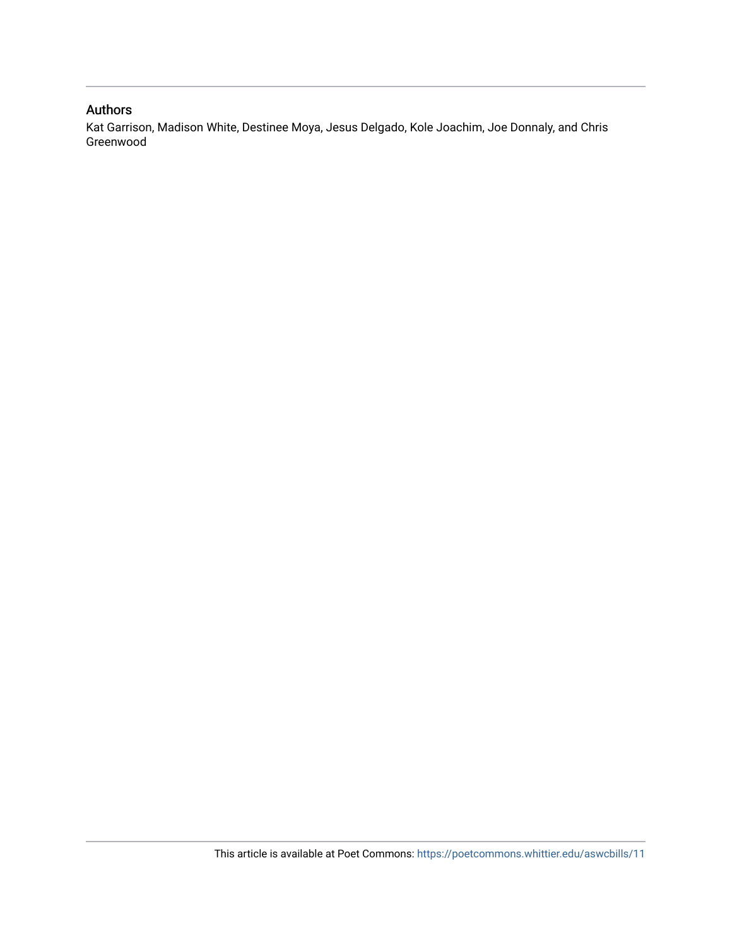## Authors

Kat Garrison, Madison White, Destinee Moya, Jesus Delgado, Kole Joachim, Joe Donnaly, and Chris Greenwood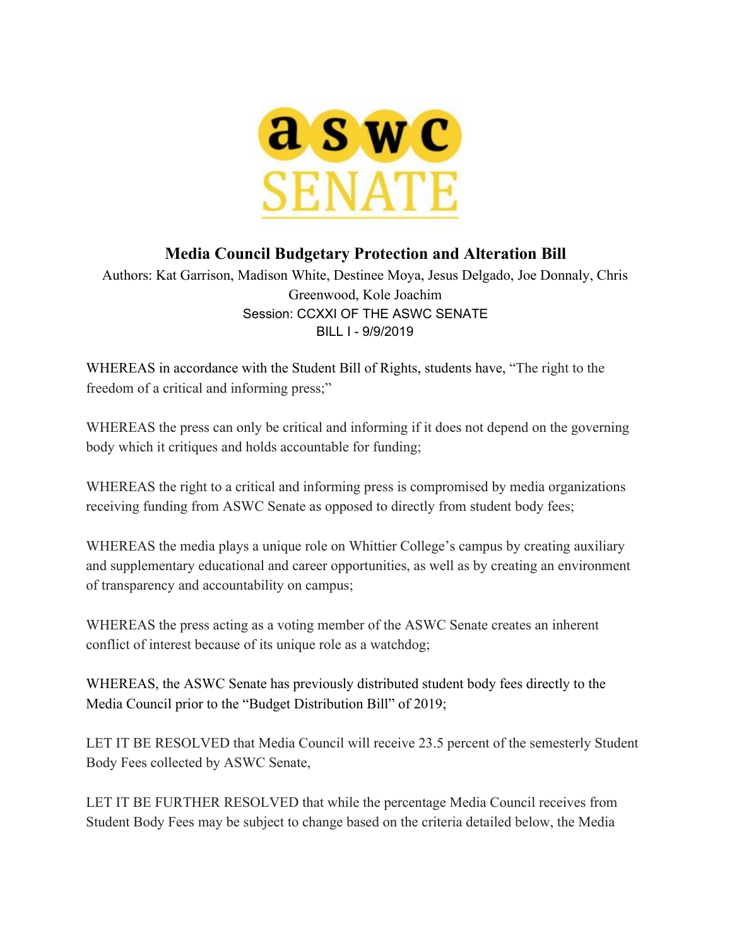

## **Media Council Budgetary Protection and Alteration Bill**

Authors: Kat Garrison, Madison White, Destinee Moya, Jesus Delgado, Joe Donnaly, Chris Greenwood, Kole Joachim Session: CCXXI OF THE ASWC SENATE BILL I - 9/9/2019

WHEREAS in accordance with the Student Bill of Rights, students have, "The right to the freedom of a critical and informing press;"

WHEREAS the press can only be critical and informing if it does not depend on the governing body which it critiques and holds accountable for funding;

WHEREAS the right to a critical and informing press is compromised by media organizations receiving funding from ASWC Senate as opposed to directly from student body fees;

WHEREAS the media plays a unique role on Whittier College's campus by creating auxiliary and supplementary educational and career opportunities, as well as by creating an environment of transparency and accountability on campus;

WHEREAS the press acting as a voting member of the ASWC Senate creates an inherent conflict of interest because of its unique role as a watchdog;

WHEREAS, the ASWC Senate has previously distributed student body fees directly to the Media Council prior to the "Budget Distribution Bill" of 2019;

LET IT BE RESOLVED that Media Council will receive 23.5 percent of the semesterly Student Body Fees collected by ASWC Senate,

LET IT BE FURTHER RESOLVED that while the percentage Media Council receives from Student Body Fees may be subject to change based on the criteria detailed below, the Media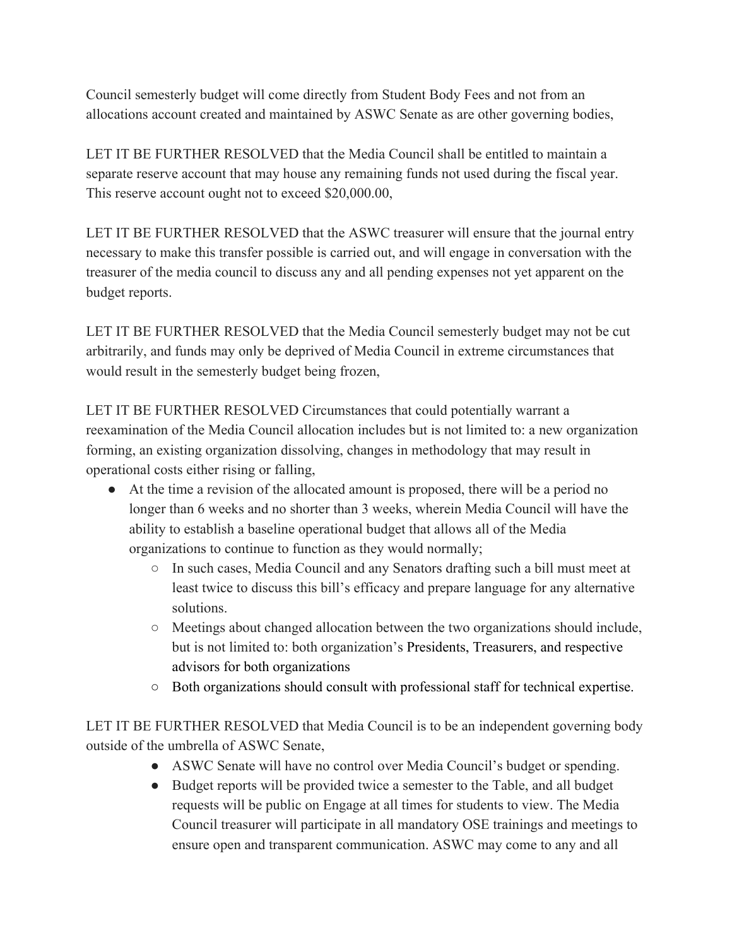Council semesterly budget will come directly from Student Body Fees and not from an allocations account created and maintained by ASWC Senate as are other governing bodies,

LET IT BE FURTHER RESOLVED that the Media Council shall be entitled to maintain a separate reserve account that may house any remaining funds not used during the fiscal year. This reserve account ought not to exceed \$20,000.00,

LET IT BE FURTHER RESOLVED that the ASWC treasurer will ensure that the journal entry necessary to make this transfer possible is carried out, and will engage in conversation with the treasurer of the media council to discuss any and all pending expenses not yet apparent on the budget reports.

LET IT BE FURTHER RESOLVED that the Media Council semesterly budget may not be cut arbitrarily, and funds may only be deprived of Media Council in extreme circumstances that would result in the semesterly budget being frozen,

LET IT BE FURTHER RESOLVED Circumstances that could potentially warrant a reexamination of the Media Council allocation includes but is not limited to: a new organization forming, an existing organization dissolving, changes in methodology that may result in operational costs either rising or falling,

- At the time a revision of the allocated amount is proposed, there will be a period no longer than 6 weeks and no shorter than 3 weeks, wherein Media Council will have the ability to establish a baseline operational budget that allows all of the Media organizations to continue to function as they would normally;
	- In such cases, Media Council and any Senators drafting such a bill must meet at least twice to discuss this bill's efficacy and prepare language for any alternative solutions.
	- Meetings about changed allocation between the two organizations should include, but is not limited to: both organization's Presidents, Treasurers, and respective advisors for both organizations
	- Both organizations should consult with professional staff for technical expertise.

LET IT BE FURTHER RESOLVED that Media Council is to be an independent governing body outside of the umbrella of ASWC Senate,

- ASWC Senate will have no control over Media Council's budget or spending.
- Budget reports will be provided twice a semester to the Table, and all budget requests will be public on Engage at all times for students to view. The Media Council treasurer will participate in all mandatory OSE trainings and meetings to ensure open and transparent communication. ASWC may come to any and all